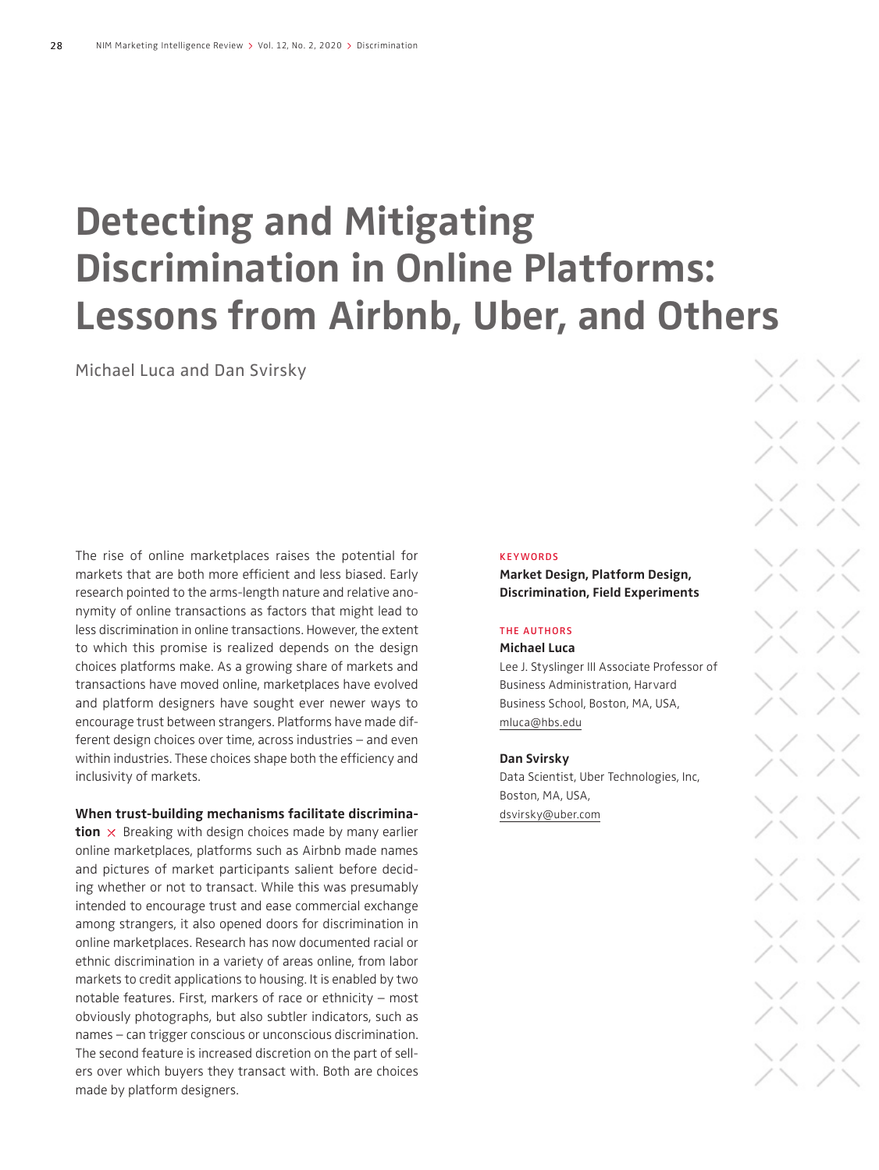# **Detecting and Mitigating Discrimination in Online Platforms: Lessons from Airbnb, Uber, and Others**

Michael Luca and Dan Svirsky

The rise of online marketplaces raises the potential for markets that are both more efficient and less biased. Early research pointed to the arms-length nature and relative anonymity of online transactions as factors that might lead to less discrimination in online transactions. However, the extent to which this promise is realized depends on the design choices platforms make. As a growing share of markets and transactions have moved online, marketplaces have evolved and platform designers have sought ever newer ways to encourage trust between strangers. Platforms have made different design choices over time, across industries – and even within industries. These choices shape both the efficiency and inclusivity of markets.

#### **When trust-building mechanisms facilitate discrimina-**

**tion**  $\times$  Breaking with design choices made by many earlier online marketplaces, platforms such as Airbnb made names and pictures of market participants salient before deciding whether or not to transact. While this was presumably intended to encourage trust and ease commercial exchange among strangers, it also opened doors for discrimination in online marketplaces. Research has now documented racial or ethnic discrimination in a variety of areas online, from labor markets to credit applications to housing. It is enabled by two notable features. First, markers of race or ethnicity – most obviously photographs, but also subtler indicators, such as names – can trigger conscious or unconscious discrimination. The second feature is increased discretion on the part of sellers over which buyers they transact with. Both are choices made by platform designers.

#### **KEYWORDS**

**Market Design, Platform Design, Discrimination, Field Experiments**

#### THE AUTHORS

#### **Michael Luca**

Lee J. Styslinger III Associate Professor of Business Administration, Harvard Business School, Boston, MA, USA, mluca@hbs.edu

#### **Dan Svirsky**

Data Scientist, Uber Technologies, Inc, Boston, MA, USA, dsvirsky@uber.com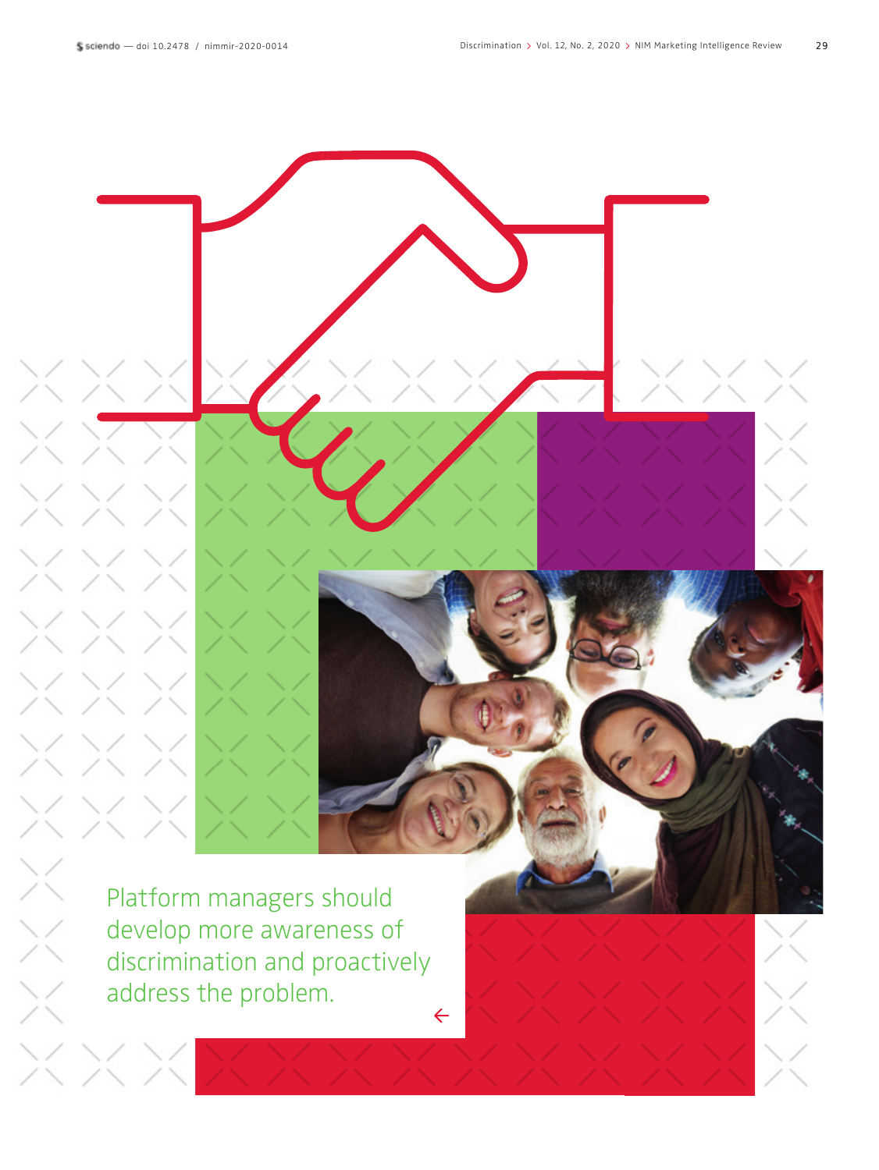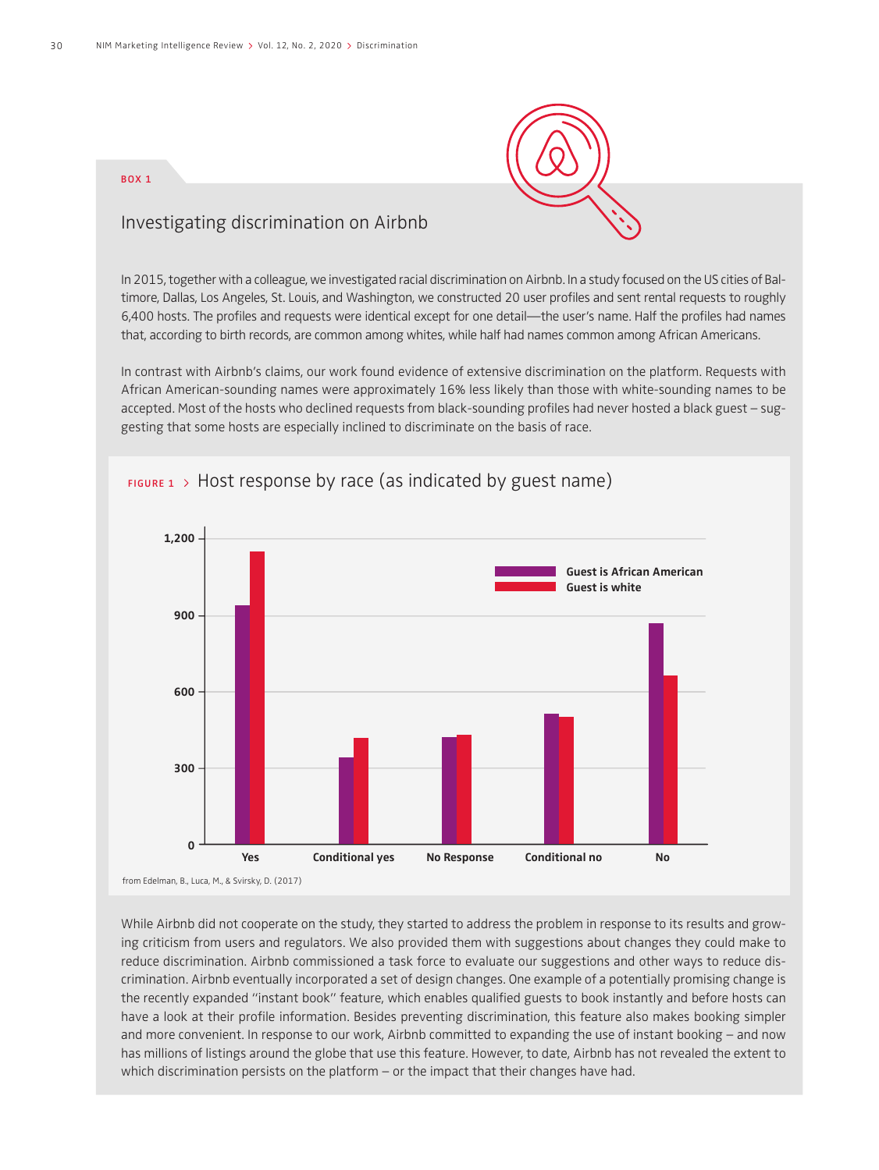

#### BOX 1

### Investigating discrimination on Airbnb

In 2015, together with a colleague, we investigated racial discrimination on Airbnb. In a study focused on the US cities of Baltimore, Dallas, Los Angeles, St. Louis, and Washington, we constructed 20 user profiles and sent rental requests to roughly 6,400 hosts. The profiles and requests were identical except for one detail—the user's name. Half the profiles had names that, according to birth records, are common among whites, while half had names common among African Americans.

In contrast with Airbnb's claims, our work found evidence of extensive discrimination on the platform. Requests with African American-sounding names were approximately 16% less likely than those with white-sounding names to be accepted. Most of the hosts who declined requests from black-sounding profiles had never hosted a black guest – suggesting that some hosts are especially inclined to discriminate on the basis of race.



## $F1GURE 1$  > Host response by race (as indicated by guest name)

While Airbnb did not cooperate on the study, they started to address the problem in response to its results and growing criticism from users and regulators. We also provided them with suggestions about changes they could make to reduce discrimination. Airbnb commissioned a task force to evaluate our suggestions and other ways to reduce discrimination. Airbnb eventually incorporated a set of design changes. One example of a potentially promising change is the recently expanded "instant book" feature, which enables qualified guests to book instantly and before hosts can have a look at their profile information. Besides preventing discrimination, this feature also makes booking simpler and more convenient. In response to our work, Airbnb committed to expanding the use of instant booking – and now has millions of listings around the globe that use this feature. However, to date, Airbnb has not revealed the extent to which discrimination persists on the platform – or the impact that their changes have had.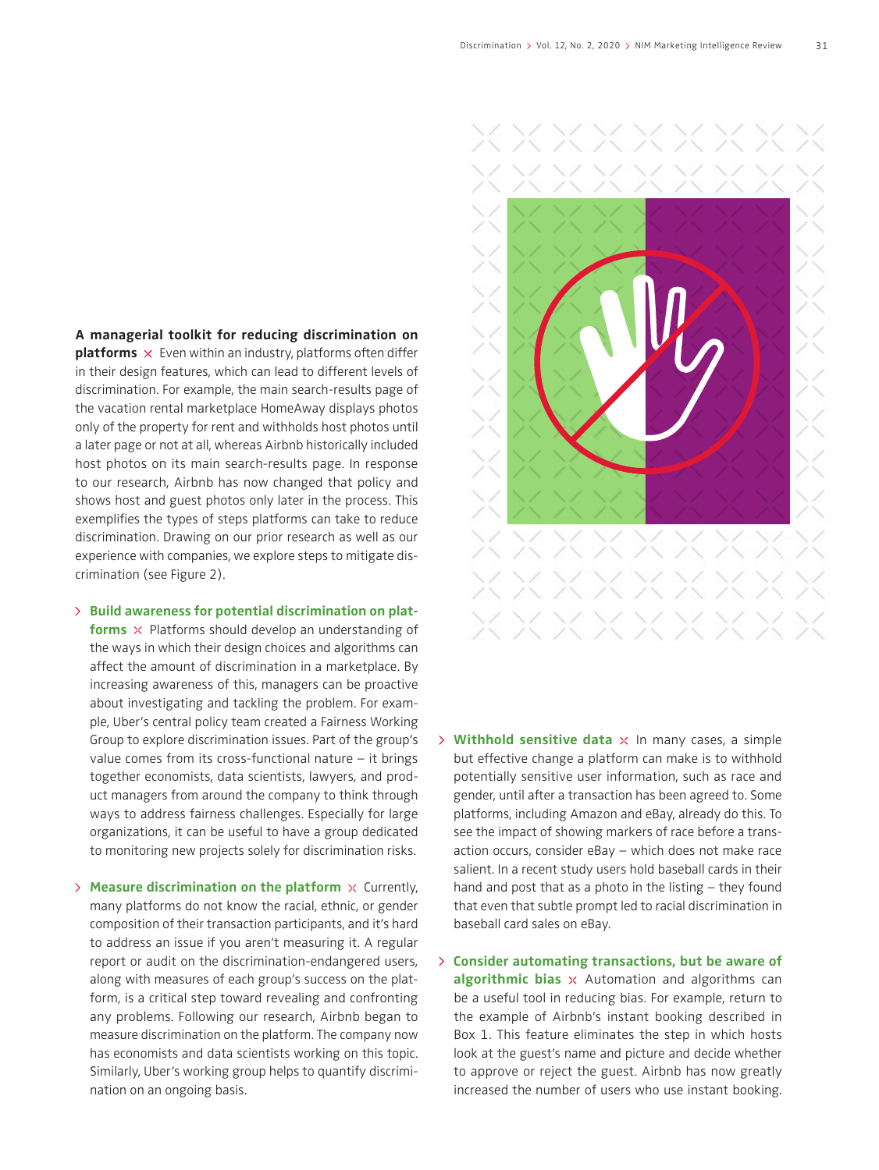**A managerial toolkit for reducing discrimination on** 

**platforms**  $\times$  Even within an industry, platforms often differ in their design features, which can lead to different levels of discrimination. For example, the main search-results page of the vacation rental marketplace HomeAway displays photos only of the property for rent and withholds host photos until a later page or not at all, whereas Airbnb historically included host photos on its main search-results page. In response to our research, Airbnb has now changed that policy and shows host and guest photos only later in the process. This exemplifies the types of steps platforms can take to reduce discrimination. Drawing on our prior research as well as our experience with companies, we explore steps to mitigate discrimination (see Figure 2).

**Build awareness for potential discrimination on plat-**

**forms**  $\times$  Platforms should develop an understanding of the ways in which their design choices and algorithms can affect the amount of discrimination in a marketplace. By increasing awareness of this, managers can be proactive about investigating and tackling the problem. For example, Uber's central policy team created a Fairness Working Group to explore discrimination issues. Part of the group's value comes from its cross-functional nature – it brings together economists, data scientists, lawyers, and product managers from around the company to think through ways to address fairness challenges. Especially for large organizations, it can be useful to have a group dedicated to monitoring new projects solely for discrimination risks.

 $\geq$  **Measure discrimination on the platform**  $\times$  Currently, many platforms do not know the racial, ethnic, or gender composition of their transaction participants, and it's hard to address an issue if you aren't measuring it. A regular report or audit on the discrimination-endangered users, along with measures of each group's success on the platform, is a critical step toward revealing and confronting any problems. Following our research, Airbnb began to measure discrimination on the platform. The company now has economists and data scientists working on this topic. Similarly, Uber's working group helps to quantify discrimination on an ongoing basis.

![](_page_3_Picture_6.jpeg)

- $\triangleright$  **Withhold sensitive data**  $\times$  In many cases, a simple but effective change a platform can make is to withhold potentially sensitive user information, such as race and gender, until after a transaction has been agreed to. Some platforms, including Amazon and eBay, already do this. To see the impact of showing markers of race before a transaction occurs, consider eBay – which does not make race salient. In a recent study users hold baseball cards in their hand and post that as a photo in the listing – they found that even that subtle prompt led to racial discrimination in baseball card sales on eBay.
- **Consider automating transactions, but be aware of algorithmic bias**  $\times$  Automation and algorithms can be a useful tool in reducing bias. For example, return to the example of Airbnb's instant booking described in Box 1. This feature eliminates the step in which hosts look at the guest's name and picture and decide whether to approve or reject the guest. Airbnb has now greatly increased the number of users who use instant booking.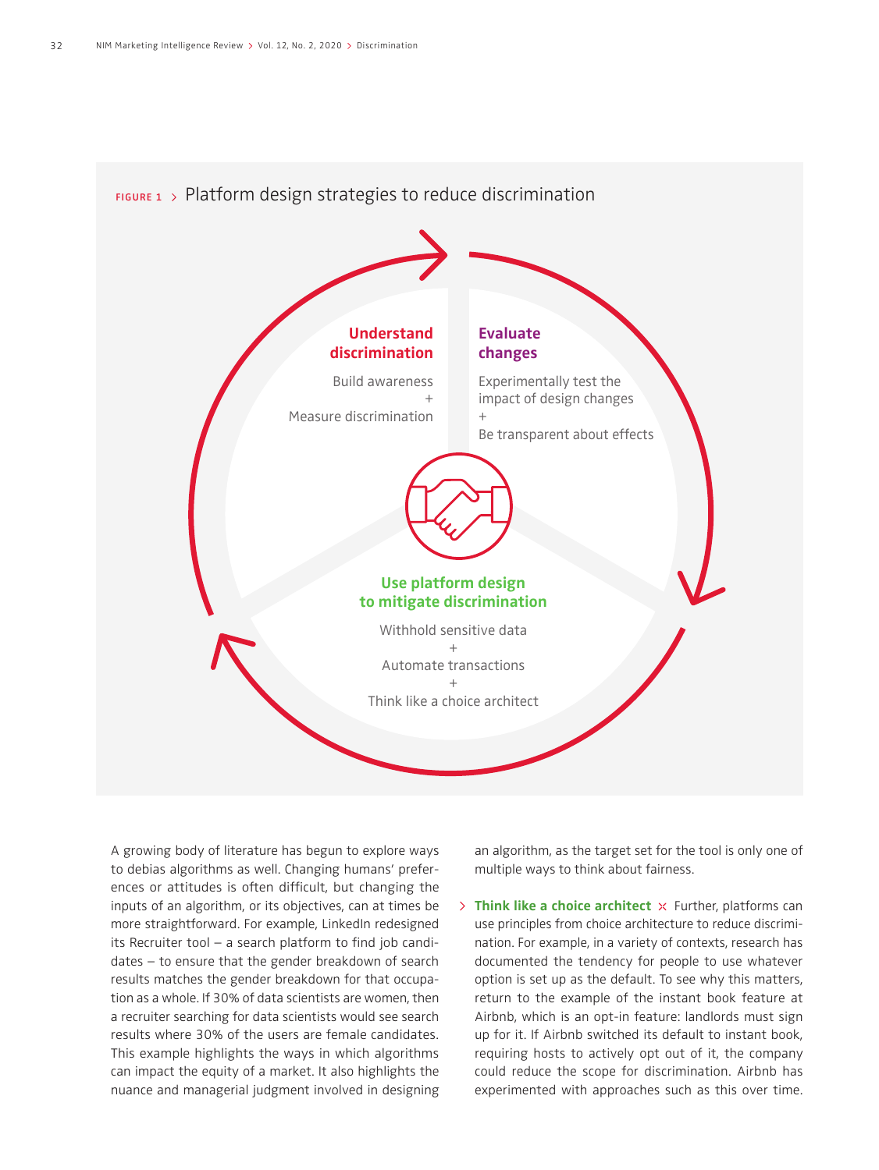![](_page_4_Figure_1.jpeg)

A growing body of literature has begun to explore ways to debias algorithms as well. Changing humans' preferences or attitudes is often difficult, but changing the inputs of an algorithm, or its objectives, can at times be more straightforward. For example, LinkedIn redesigned its Recruiter tool  $-$  a search platform to find job candidates – to ensure that the gender breakdown of search results matches the gender breakdown for that occupation as a whole. If 30% of data scientists are women, then a recruiter searching for data scientists would see search results where 30% of the users are female candidates. This example highlights the ways in which algorithms can impact the equity of a market. It also highlights the nuance and managerial judgment involved in designing

an algorithm, as the target set for the tool is only one of multiple ways to think about fairness.

**Think like a choice architect**  $\times$  Further, platforms can use principles from choice architecture to reduce discrimination. For example, in a variety of contexts, research has documented the tendency for people to use whatever option is set up as the default. To see why this matters, return to the example of the instant book feature at Airbnb, which is an opt-in feature: landlords must sign up for it. If Airbnb switched its default to instant book, requiring hosts to actively opt out of it, the company could reduce the scope for discrimination. Airbnb has experimented with approaches such as this over time.